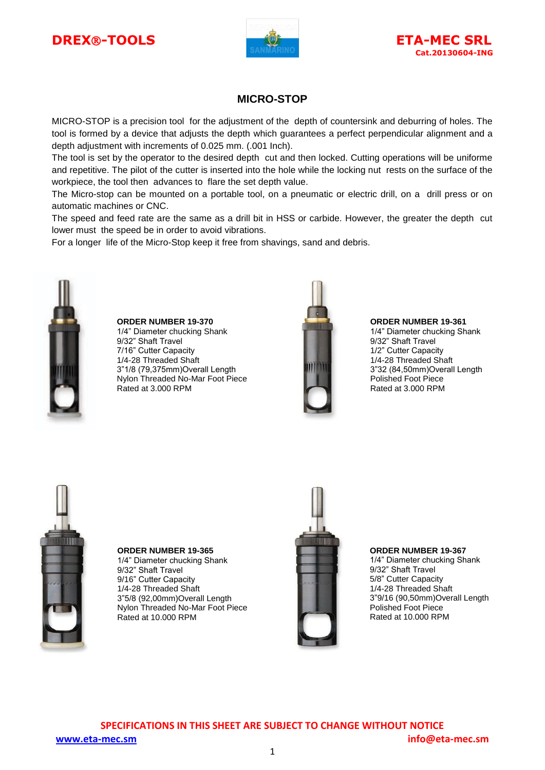# **DREX**®-TOOLS **ETA-MEC SRL**





## **MICRO-STOP**

MICRO-STOP is a precision tool for the adjustment of the depth of countersink and deburring of holes. The tool is formed by a device that adjusts the depth which guarantees a perfect perpendicular alignment and a depth adjustment with increments of 0.025 mm. (.001 Inch).

The tool is set by the operator to the desired depth cut and then locked. Cutting operations will be uniforme and repetitive. The pilot of the cutter is inserted into the hole while the locking nut rests on the surface of the workpiece, the tool then advances to flare the set depth value.

The Micro-stop can be mounted on a portable tool, on a pneumatic or electric drill, on a drill press or on automatic machines or CNC.

The speed and feed rate are the same as a drill bit in HSS or carbide. However, the greater the depth cut lower must the speed be in order to avoid vibrations.

For a longer life of the Micro-Stop keep it free from shavings, sand and debris.



**ORDER NUMBER 19-370** 1/4" Diameter chucking Shank 9/32" Shaft Travel 7/16" Cutter Capacity 1/4-28 Threaded Shaft 3"1/8 (79,375mm)Overall Length Nylon Threaded No-Mar Foot Piece Rated at 3.000 RPM



#### **ORDER NUMBER 19-361**

1/4" Diameter chucking Shank 9/32" Shaft Travel 1/2" Cutter Capacity 1/4-28 Threaded Shaft 3"32 (84,50mm)Overall Length Polished Foot Piece Rated at 3.000 RPM



**ORDER NUMBER 19-365 ORDER NUMBER 19-365**1/4" Diameter chucking Shank 1/4" Diameter chucking Shank 9/32" Shaft Travel 9/16" Cutter Capacity 1/4-28 Threaded Shaft 1/4-28 Threaded Shaft 3"5/8 (92,00mm)Overall Length 3"5/8 (92,00mm)Overall Length Nylon Threaded No-Mar Foot Piece Nylon Threaded No-Mar Foot Piece Rated at 10.000 RPM Rated at 10.000 RPM 9/32" Shaft Travel 9/16" Cutter Capacity



#### **ORDER NUMBER 19-367**

1/4" Diameter chucking Shank 9/32" Shaft Travel 5/8" Cutter Capacity 1/4-28 Threaded Shaft 3"9/16 (90,50mm)Overall Length Polished Foot Piece Rated at 10.000 RPM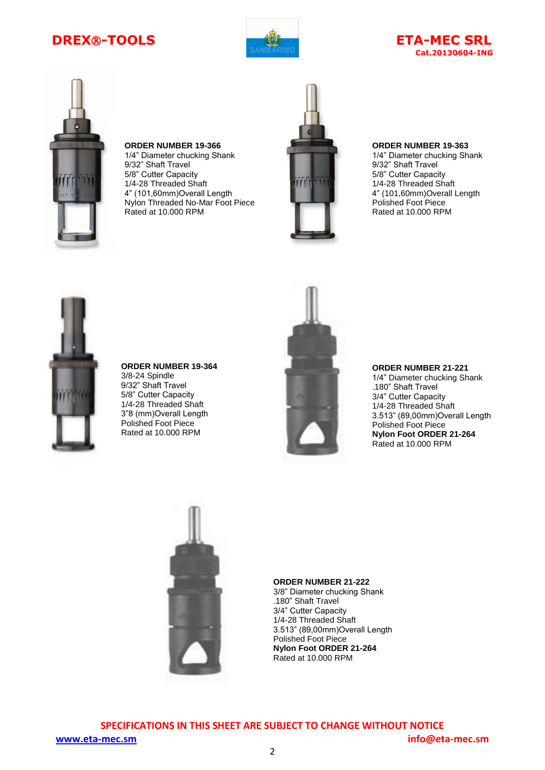# **DREX®-TOOLS ETA-MEC SRL**



# **Cat.20130604-ING**



**ORDER NUMBER 19-366** 1/4" Diameter chucking Shank 9/32" Shaft Travel 5/8" Cutter Capacity 1/4-28 Threaded Shaft 4" (101,60mm)Overall Length Nylon Threaded No-Mar Foot Piece Rated at 10.000 RPM



### **ORDER NUMBER 19-363**

1/4" Diameter chucking Shank 9/32" Shaft Travel 5/8" Cutter Capacity 1/4-28 Threaded Shaft 4" (101,60mm)Overall Length Polished Foot Piece Rated at 10.000 RPM



**ORDER NUMBER 19-364** 3/8-24 Spindle 9/32" Shaft Travel 5/8" Cutter Capacity 1/4-28 Threaded Shaft 3"8 (mm)Overall Length Polished Foot Piece Rated at 10.000 RPM



#### **ORDER NUMBER 21-221**

1/4" Diameter chucking Shank .180" Shaft Travel 3/4" Cutter Capacity 1/4-28 Threaded Shaft 3.513" (89,00mm)Overall Length Polished Foot Piece **Nylon Foot ORDER 21-264** Rated at 10.000 RPM



#### **ORDER NUMBER 21-222**

3/8" Diameter chucking Shank .180" Shaft Travel 3/4" Cutter Capacity 1/4-28 Threaded Shaft 3.513" (89,00mm)Overall Length Polished Foot Piece **Nylon Foot ORDER 21-264** Rated at 10.000 RPM